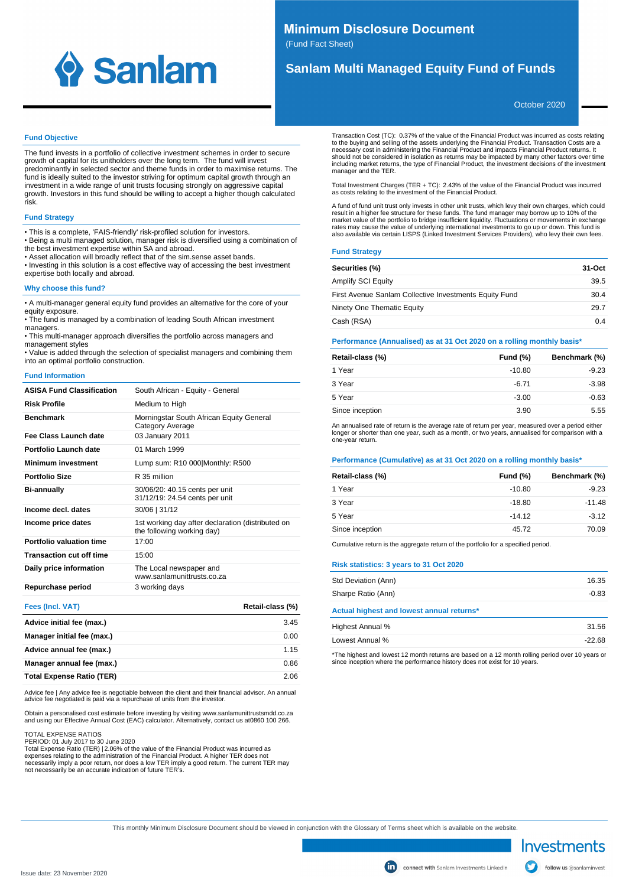

# **Minimum Disclosure Document**

(Fund Fact Sheet)

# **Sanlam Multi Managed Equity Fund of Funds**

October 2020

### **Fund Objective**

The fund invests in a portfolio of collective investment schemes in order to secure growth of capital for its unitholders over the long term. The fund will invest predominantly in selected sector and theme funds in order to maximise returns. The fund is ideally suited to the investor striving for optimum capital growth through an investment in a wide range of unit trusts focusing strongly on aggressive capital growth. Investors in this fund should be willing to accept a higher though calculated risk.

# **Fund Strategy**

• This is a complete, 'FAIS-friendly' risk-profiled solution for investors.

• Being a multi managed solution, manager risk is diversified using a combination of the best investment expertise within SA and abroad.

• Asset allocation will broadly reflect that of the sim.sense asset bands. • Investing in this solution is a cost effective way of accessing the best investment expertise both locally and abroad.

# **Why choose this fund?**

• A multi-manager general equity fund provides an alternative for the core of your equity exposure.

• The fund is managed by a combination of leading South African investment managers.

• This multi-manager approach diversifies the portfolio across managers and management styles

• Value is added through the selection of specialist managers and combining them into an optimal portfolio construction.

#### **Fund Information**

| <b>ASISA Fund Classification</b> | South African - Equity - General                                                |
|----------------------------------|---------------------------------------------------------------------------------|
| <b>Risk Profile</b>              | Medium to High                                                                  |
| <b>Benchmark</b>                 | Morningstar South African Equity General<br>Category Average                    |
| Fee Class Launch date            | 03 January 2011                                                                 |
| Portfolio Launch date            | 01 March 1999                                                                   |
| <b>Minimum investment</b>        | Lump sum: R10 000 Monthly: R500                                                 |
| <b>Portfolio Size</b>            | R 35 million                                                                    |
| <b>Bi-annually</b>               | 30/06/20: 40.15 cents per unit<br>31/12/19: 24.54 cents per unit                |
| Income decl. dates               | 30/06   31/12                                                                   |
| Income price dates               | 1st working day after declaration (distributed on<br>the following working day) |
| Portfolio valuation time         | 17:00                                                                           |
| <b>Transaction cut off time</b>  | 15:00                                                                           |
| Daily price information          | The Local newspaper and<br>www.sanlamunittrusts.co.za                           |
| Repurchase period                | 3 working days                                                                  |

# **Fees (Incl. VAT) Retail-class (%)**

| Advice initial fee (max.)        | 3.45 |
|----------------------------------|------|
| Manager initial fee (max.)       | 0.00 |
| Advice annual fee (max.)         | 1.15 |
| Manager annual fee (max.)        | 0.86 |
| <b>Total Expense Ratio (TER)</b> | 2.06 |

Advice fee | Any advice fee is negotiable between the client and their financial advisor. An annual advice fee negotiated is paid via a repurchase of units from the investor.

Obtain a personalised cost estimate before investing by visiting www.sanlamunittrustsmdd.co.za<br>and using our Effective Annual Cost (EAC) calculator. Alternatively, contact us at0860 100 266.

TOTAL EXPENSE RATIOS PERIOD: 01 July 2017 to 30 June 2020

Total Expense Ratio (TER) | 2.06% of the value of the Financial Product was incurred as<br>expenses relating to the administration of the Financial Product. A higher TER does not<br>necessarily imply a poor return, nor does a lo

Transaction Cost (TC): 0.37% of the value of the Financial Product was incurred as costs relating to the buying and selling of the assets underlying the Financial Product. Transaction Costs are a<br>necessary cost in administering the Financial Product and impacts Financial Product returns. It<br>should not be considered in including market returns, the type of Financial Product, the investment decisions of the investment manager and the TER.

Total Investment Charges (TER + TC): 2.43% of the value of the Financial Product was incurred as costs relating to the investment of the Financial Product.

A fund of fund unit trust only invests in other unit trusts, which levy their own charges, which could result in a higher fee structure for these funds. The fund manager may borrow up to 10% of the market value of the portfolio to bridge insufficient liquidity. Fluctuations or movements in exchange rates may cause the value of underlying international investments to go up or down. This fund is also available via certain LISPS (Linked Investment Services Providers), who levy their own fees.

## **Fund Strategy**

| Securities (%)                                         | 31-Oct |
|--------------------------------------------------------|--------|
| Amplify SCI Equity                                     | 39.5   |
| First Avenue Sanlam Collective Investments Equity Fund | 30.4   |
| Ninety One Thematic Equity                             | 29.7   |
| Cash (RSA)                                             | 0.4    |

#### **Performance (Annualised) as at 31 Oct 2020 on a rolling monthly basis\***

| Retail-class (%) | Fund $(\%)$ | Benchmark (%) |
|------------------|-------------|---------------|
| 1 Year           | $-10.80$    | $-9.23$       |
| 3 Year           | $-6.71$     | $-3.98$       |
| 5 Year           | $-3.00$     | $-0.63$       |
| Since inception  | 3.90        | 5.55          |

An annualised rate of return is the average rate of return per year, measured over a period either longer or shorter than one year, such as a month, or two years, annualised for comparison with a one-year return.

#### **Performance (Cumulative) as at 31 Oct 2020 on a rolling monthly basis\***

| Retail-class (%) | Fund $(\%)$ | Benchmark (%) |
|------------------|-------------|---------------|
| 1 Year           | $-10.80$    | $-9.23$       |
| 3 Year           | $-18.80$    | $-11.48$      |
| 5 Year           | $-14.12$    | $-3.12$       |
| Since inception  | 45.72       | 70.09         |

Cumulative return is the aggregate return of the portfolio for a specified period.

#### **Risk statistics: 3 years to 31 Oct 2020**

| Std Deviation (Ann)                       | 16.35   |
|-------------------------------------------|---------|
| Sharpe Ratio (Ann)                        | $-0.83$ |
| Actual highest and lowest annual returns* |         |
| Highest Annual %                          | 31.56   |
| Lowest Annual %                           | -22.68  |

\*The highest and lowest 12 month returns are based on a 12 month rolling period over 10 years or since inception where the performance history does not exist for 10 years.

This monthly Minimum Disclosure Document should be viewed in conjunction with the Glossary of Terms sheet which is available on the website.

Investments

follow us @sanlaminvest